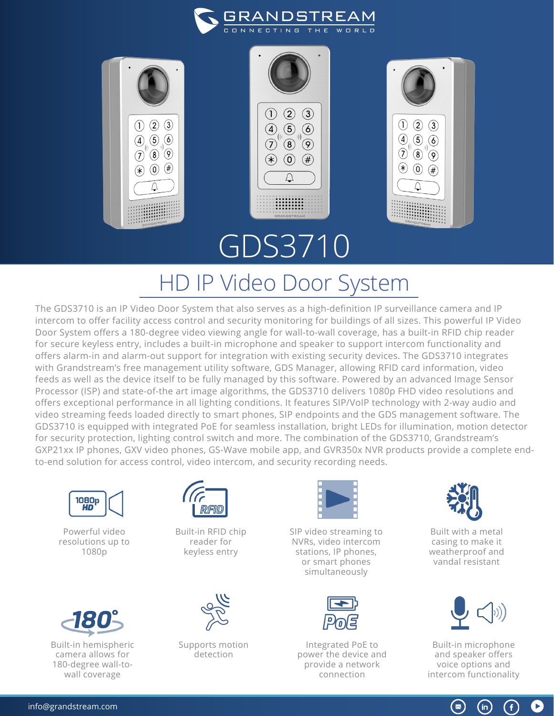



## HD IP Video Door System

The GDS3710 is an IP Video Door System that also serves as a high-definition IP surveillance camera and IP intercom to offer facility access control and security monitoring for buildings of all sizes. This powerful IP Video Door System offers a 180-degree video viewing angle for wall-to-wall coverage, has a built-in RFID chip reader for secure keyless entry, includes a built-in microphone and speaker to support intercom functionality and offers alarm-in and alarm-out support for integration with existing security devices. The GDS3710 integrates with Grandstream's free management utility software, GDS Manager, allowing RFID card information, video feeds as well as the device itself to be fully managed by this software. Powered by an advanced Image Sensor Processor (ISP) and state-of-the art image algorithms, the GDS3710 delivers 1080p FHD video resolutions and offers exceptional performance in all lighting conditions. It features SIP/VoIP technology with 2-way audio and video streaming feeds loaded directly to smart phones, SIP endpoints and the GDS management software. The GDS3710 is equipped with integrated PoE for seamless installation, bright LEDs for illumination, motion detector for security protection, lighting control switch and more. The combination of the GDS3710, Grandstream's GXP21xx IP phones, GXV video phones, GS-Wave mobile app, and GVR350x NVR products provide a complete endto-end solution for access control, video intercom, and security recording needs.



Powerful video resolutions up to 1080p



Built-in hemispheric camera allows for 180-degree wall-towall coverage



Built-in RFID chip reader for keyless entry



Supports motion detection



SIP video streaming to NVRs, video intercom stations, IP phones, or smart phones simultaneously



Integrated PoE to power the device and provide a network connection



Built with a metal casing to make it weatherproof and vandal resistant



Built-in microphone and speaker offers voice options and intercom functionality